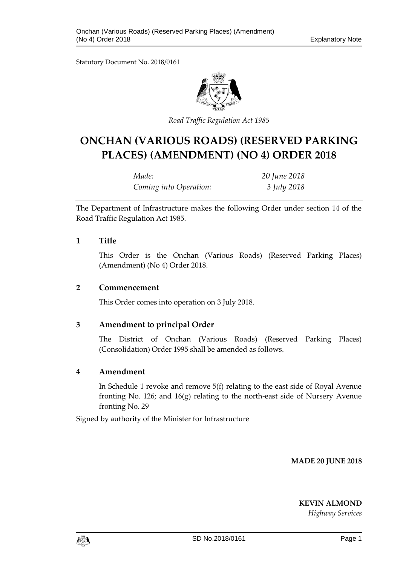Statutory Document No. 2018/0161



*Road Traffic Regulation Act 1985*

# **ONCHAN (VARIOUS ROADS) (RESERVED PARKING PLACES) (AMENDMENT) (NO 4) ORDER 2018**

| Made:                  | 20 June 2018 |
|------------------------|--------------|
| Coming into Operation: | 3 July 2018  |

The Department of Infrastructure makes the following Order under section 14 of the Road Traffic Regulation Act 1985.

### **1 Title**

This Order is the Onchan (Various Roads) (Reserved Parking Places) (Amendment) (No 4) Order 2018.

### **2 Commencement**

This Order comes into operation on 3 July 2018.

## **3 Amendment to principal Order**

The District of Onchan (Various Roads) (Reserved Parking Places) (Consolidation) Order 1995 shall be amended as follows.

### **4 Amendment**

In Schedule 1 revoke and remove 5(f) relating to the east side of Royal Avenue fronting No. 126; and  $16(g)$  relating to the north-east side of Nursery Avenue fronting No. 29

Signed by authority of the Minister for Infrastructure

**MADE 20 JUNE 2018**

**KEVIN ALMOND**

*Highway Services*